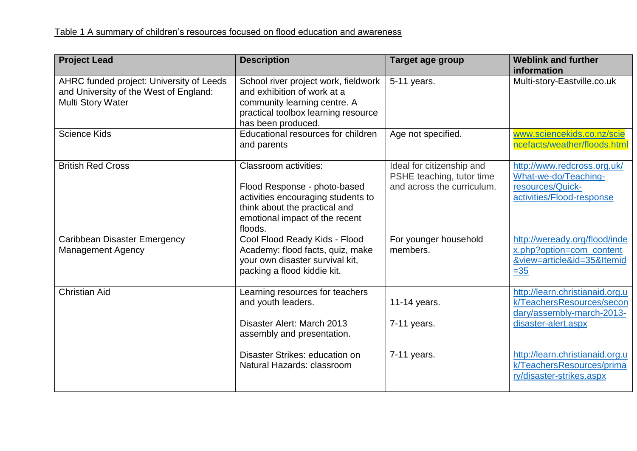| <b>Project Lead</b>                                                                                            | <b>Description</b>                                                                                                                                                               | Target age group                                                                     | <b>Weblink and further</b><br>information                                                            |
|----------------------------------------------------------------------------------------------------------------|----------------------------------------------------------------------------------------------------------------------------------------------------------------------------------|--------------------------------------------------------------------------------------|------------------------------------------------------------------------------------------------------|
| AHRC funded project: University of Leeds<br>and University of the West of England:<br><b>Multi Story Water</b> | School river project work, fieldwork<br>and exhibition of work at a<br>community learning centre. A<br>practical toolbox learning resource<br>has been produced.                 | 5-11 years.                                                                          | Multi-story-Eastville.co.uk                                                                          |
| <b>Science Kids</b>                                                                                            | Educational resources for children<br>and parents                                                                                                                                | Age not specified.                                                                   | www.sciencekids.co.nz/scie<br>ncefacts/weather/floods.html                                           |
| <b>British Red Cross</b>                                                                                       | <b>Classroom activities:</b><br>Flood Response - photo-based<br>activities encouraging students to<br>think about the practical and<br>emotional impact of the recent<br>floods. | Ideal for citizenship and<br>PSHE teaching, tutor time<br>and across the curriculum. | http://www.redcross.org.uk/<br>What-we-do/Teaching-<br>resources/Quick-<br>activities/Flood-response |
| Caribbean Disaster Emergency<br><b>Management Agency</b>                                                       | Cool Flood Ready Kids - Flood<br>Academy: flood facts, quiz, make<br>your own disaster survival kit,<br>packing a flood kiddie kit.                                              | For younger household<br>members.                                                    | http://weready.org/flood/inde<br>x.php?option=com_content<br>&view=article&id=35&Itemid<br>$=35$     |
| <b>Christian Aid</b>                                                                                           | Learning resources for teachers<br>and youth leaders.                                                                                                                            | 11-14 years.                                                                         | http://learn.christianaid.org.u<br>k/TeachersResources/secon<br>dary/assembly-march-2013-            |
|                                                                                                                | Disaster Alert: March 2013<br>assembly and presentation.                                                                                                                         | 7-11 years.                                                                          | disaster-alert.aspx                                                                                  |
|                                                                                                                | Disaster Strikes: education on<br>Natural Hazards: classroom                                                                                                                     | $7-11$ years.                                                                        | http://learn.christianaid.org.u<br>k/TeachersResources/prima<br>ry/disaster-strikes.aspx             |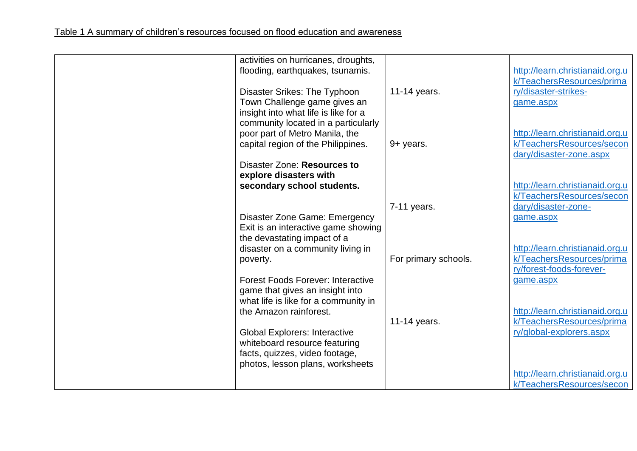| activities on hurricanes, droughts,<br>flooding, earthquakes, tsunamis. |                      | http://learn.christianaid.org.u<br>k/TeachersResources/prima |
|-------------------------------------------------------------------------|----------------------|--------------------------------------------------------------|
| Disaster Srikes: The Typhoon                                            | 11-14 years.         | ry/disaster-strikes-                                         |
| Town Challenge game gives an<br>insight into what life is like for a    |                      | game.aspx                                                    |
| community located in a particularly                                     |                      |                                                              |
| poor part of Metro Manila, the                                          |                      | http://learn.christianaid.org.u                              |
| capital region of the Philippines.                                      | 9+ years.            | k/TeachersResources/secon<br>dary/disaster-zone.aspx         |
| Disaster Zone: Resources to<br>explore disasters with                   |                      |                                                              |
| secondary school students.                                              |                      | http://learn.christianaid.org.u                              |
|                                                                         | $7-11$ years.        | k/TeachersResources/secon<br>dary/disaster-zone-             |
| Disaster Zone Game: Emergency                                           |                      | game.aspx                                                    |
| Exit is an interactive game showing                                     |                      |                                                              |
| the devastating impact of a                                             |                      | http://learn.christianaid.org.u                              |
| disaster on a community living in<br>poverty.                           | For primary schools. | k/TeachersResources/prima                                    |
|                                                                         |                      | ry/forest-foods-forever-                                     |
| <b>Forest Foods Forever: Interactive</b>                                |                      | game.aspx                                                    |
| game that gives an insight into<br>what life is like for a community in |                      |                                                              |
| the Amazon rainforest.                                                  |                      | http://learn.christianaid.org.u                              |
|                                                                         | 11-14 years.         | k/TeachersResources/prima<br>ry/global-explorers.aspx        |
| <b>Global Explorers: Interactive</b><br>whiteboard resource featuring   |                      |                                                              |
| facts, quizzes, video footage,                                          |                      |                                                              |
| photos, lesson plans, worksheets                                        |                      | http://learn.christianaid.org.u                              |
|                                                                         |                      | k/TeachersResources/secon                                    |
|                                                                         |                      |                                                              |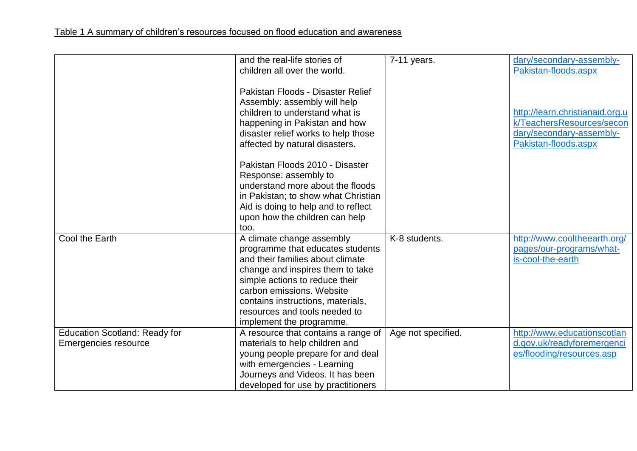|                                                                     | and the real-life stories of<br>children all over the world.                                                                                                                                                                                                                                           | $7-11$ years.      | dary/secondary-assembly-<br>Pakistan-floods.aspx                                                                 |
|---------------------------------------------------------------------|--------------------------------------------------------------------------------------------------------------------------------------------------------------------------------------------------------------------------------------------------------------------------------------------------------|--------------------|------------------------------------------------------------------------------------------------------------------|
|                                                                     | Pakistan Floods - Disaster Relief<br>Assembly: assembly will help<br>children to understand what is<br>happening in Pakistan and how<br>disaster relief works to help those<br>affected by natural disasters.                                                                                          |                    | http://learn.christianaid.org.u<br>k/TeachersResources/secon<br>dary/secondary-assembly-<br>Pakistan-floods.aspx |
|                                                                     | Pakistan Floods 2010 - Disaster<br>Response: assembly to<br>understand more about the floods<br>in Pakistan; to show what Christian<br>Aid is doing to help and to reflect<br>upon how the children can help<br>too.                                                                                   |                    |                                                                                                                  |
| Cool the Earth                                                      | A climate change assembly<br>programme that educates students<br>and their families about climate<br>change and inspires them to take<br>simple actions to reduce their<br>carbon emissions. Website<br>contains instructions, materials,<br>resources and tools needed to<br>implement the programme. | K-8 students.      | http://www.cooltheearth.org/<br>pages/our-programs/what-<br>is-cool-the-earth                                    |
| <b>Education Scotland: Ready for</b><br><b>Emergencies resource</b> | A resource that contains a range of<br>materials to help children and<br>young people prepare for and deal<br>with emergencies - Learning<br>Journeys and Videos. It has been<br>developed for use by practitioners                                                                                    | Age not specified. | http://www.educationscotlan<br>d.gov.uk/readyforemergenci<br>es/flooding/resources.asp                           |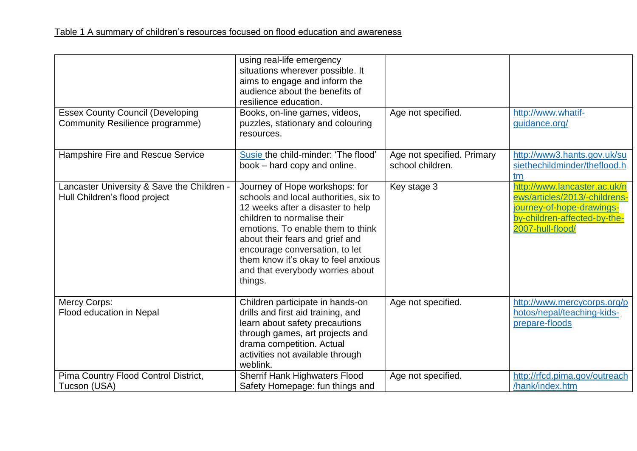| <b>Essex County Council (Developing</b><br>Community Resilience programme)  | using real-life emergency<br>situations wherever possible. It<br>aims to engage and inform the<br>audience about the benefits of<br>resilience education.<br>Books, on-line games, videos,<br>puzzles, stationary and colouring<br>resources.                                                                                               | Age not specified.                             | http://www.whatif-<br>guidance.org/                                                                                                            |
|-----------------------------------------------------------------------------|---------------------------------------------------------------------------------------------------------------------------------------------------------------------------------------------------------------------------------------------------------------------------------------------------------------------------------------------|------------------------------------------------|------------------------------------------------------------------------------------------------------------------------------------------------|
| Hampshire Fire and Rescue Service                                           | Susie the child-minder: 'The flood'<br>book – hard copy and online.                                                                                                                                                                                                                                                                         | Age not specified. Primary<br>school children. | http://www3.hants.gov.uk/su<br>siethechildminder/theflood.h<br>tm                                                                              |
| Lancaster University & Save the Children -<br>Hull Children's flood project | Journey of Hope workshops: for<br>schools and local authorities, six to<br>12 weeks after a disaster to help<br>children to normalise their<br>emotions. To enable them to think<br>about their fears and grief and<br>encourage conversation, to let<br>them know it's okay to feel anxious<br>and that everybody worries about<br>things. | Key stage 3                                    | http://www.lancaster.ac.uk/n<br>ews/articles/2013/-childrens-<br>journey-of-hope-drawings-<br>by-children-affected-by-the-<br>2007-hull-flood/ |
| Mercy Corps:<br>Flood education in Nepal                                    | Children participate in hands-on<br>drills and first aid training, and<br>learn about safety precautions<br>through games, art projects and<br>drama competition. Actual<br>activities not available through<br>weblink.                                                                                                                    | Age not specified.                             | http://www.mercycorps.org/p<br>hotos/nepal/teaching-kids-<br>prepare-floods                                                                    |
| Pima Country Flood Control District,<br>Tucson (USA)                        | <b>Sherrif Hank Highwaters Flood</b><br>Safety Homepage: fun things and                                                                                                                                                                                                                                                                     | Age not specified.                             | http://rfcd.pima.gov/outreach<br>/hank/index.htm                                                                                               |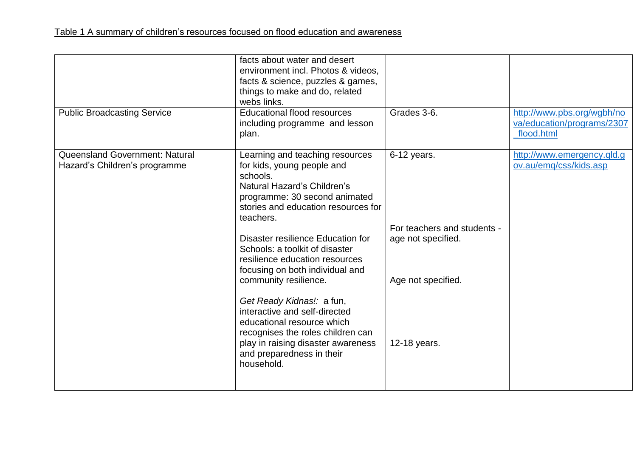| <b>Public Broadcasting Service</b>                                     | facts about water and desert<br>environment incl. Photos & videos,<br>facts & science, puzzles & games,<br>things to make and do, related<br>webs links.<br><b>Educational flood resources</b><br>including programme and lesson<br>plan.                                                                                                                                                                                                                                                                                                                                            | Grades 3-6.                                                                                            | http://www.pbs.org/wgbh/no<br>va/education/programs/2307<br>flood.html |
|------------------------------------------------------------------------|--------------------------------------------------------------------------------------------------------------------------------------------------------------------------------------------------------------------------------------------------------------------------------------------------------------------------------------------------------------------------------------------------------------------------------------------------------------------------------------------------------------------------------------------------------------------------------------|--------------------------------------------------------------------------------------------------------|------------------------------------------------------------------------|
| <b>Queensland Government: Natural</b><br>Hazard's Children's programme | Learning and teaching resources<br>for kids, young people and<br>schools.<br>Natural Hazard's Children's<br>programme: 30 second animated<br>stories and education resources for<br>teachers.<br>Disaster resilience Education for<br>Schools: a toolkit of disaster<br>resilience education resources<br>focusing on both individual and<br>community resilience.<br>Get Ready Kidnas!: a fun,<br>interactive and self-directed<br>educational resource which<br>recognises the roles children can<br>play in raising disaster awareness<br>and preparedness in their<br>household. | 6-12 years.<br>For teachers and students -<br>age not specified.<br>Age not specified.<br>12-18 years. | http://www.emergency.qld.g<br>ov.au/emg/css/kids.asp                   |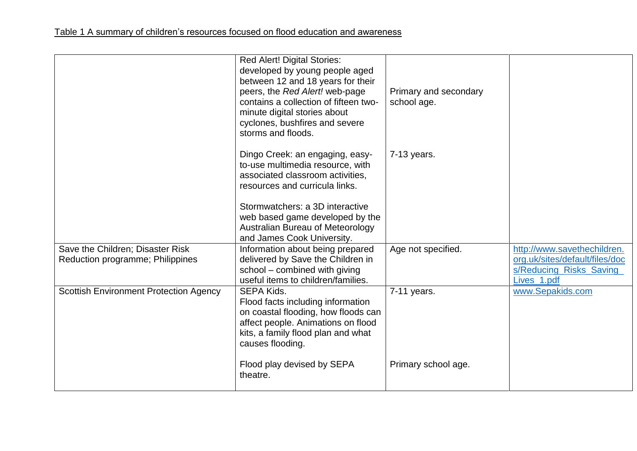|                                               | <b>Red Alert! Digital Stories:</b><br>developed by young people aged<br>between 12 and 18 years for their<br>peers, the Red Alert! web-page<br>contains a collection of fifteen two-<br>minute digital stories about<br>cyclones, bushfires and severe<br>storms and floods. | Primary and secondary<br>school age. |                                |
|-----------------------------------------------|------------------------------------------------------------------------------------------------------------------------------------------------------------------------------------------------------------------------------------------------------------------------------|--------------------------------------|--------------------------------|
|                                               | Dingo Creek: an engaging, easy-<br>to-use multimedia resource, with<br>associated classroom activities,<br>resources and curricula links.                                                                                                                                    | 7-13 years.                          |                                |
|                                               | Stormwatchers: a 3D interactive                                                                                                                                                                                                                                              |                                      |                                |
|                                               | web based game developed by the                                                                                                                                                                                                                                              |                                      |                                |
|                                               | Australian Bureau of Meteorology<br>and James Cook University.                                                                                                                                                                                                               |                                      |                                |
| Save the Children; Disaster Risk              | Information about being prepared                                                                                                                                                                                                                                             | Age not specified.                   | http://www.savethechildren.    |
| Reduction programme; Philippines              | delivered by Save the Children in                                                                                                                                                                                                                                            |                                      | org.uk/sites/default/files/doc |
|                                               | school - combined with giving                                                                                                                                                                                                                                                |                                      | s/Reducing_Risks_Saving_       |
|                                               | useful items to children/families.                                                                                                                                                                                                                                           |                                      | Lives 1.pdf                    |
| <b>Scottish Environment Protection Agency</b> | <b>SEPA Kids.</b><br>Flood facts including information<br>on coastal flooding, how floods can<br>affect people. Animations on flood<br>kits, a family flood plan and what<br>causes flooding.                                                                                | 7-11 years.                          | www.Sepakids.com               |
|                                               | Flood play devised by SEPA<br>theatre.                                                                                                                                                                                                                                       | Primary school age.                  |                                |